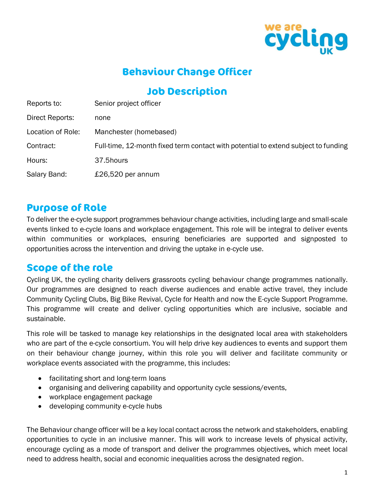

# **Behaviour Change Officer**

### **Job Description**

| Reports to:       | Senior project officer                                                             |
|-------------------|------------------------------------------------------------------------------------|
| Direct Reports:   | none                                                                               |
| Location of Role: | Manchester (homebased)                                                             |
| Contract:         | Full-time, 12-month fixed term contact with potential to extend subject to funding |
| Hours:            | 37.5hours                                                                          |
| Salary Band:      | £26,520 per annum                                                                  |
|                   |                                                                                    |

#### **Purpose of Role**

To deliver the e-cycle support programmes behaviour change activities, including large and small-scale events linked to e-cycle loans and workplace engagement. This role will be integral to deliver events within communities or workplaces, ensuring beneficiaries are supported and signposted to opportunities across the intervention and driving the uptake in e-cycle use.

#### **Scope of the role**

Cycling UK, the cycling charity delivers grassroots cycling behaviour change programmes nationally. Our programmes are designed to reach diverse audiences and enable active travel, they include Community Cycling Clubs, Big Bike Revival, Cycle for Health and now the E-cycle Support Programme. This programme will create and deliver cycling opportunities which are inclusive, sociable and sustainable.

This role will be tasked to manage key relationships in the designated local area with stakeholders who are part of the e-cycle consortium. You will help drive key audiences to events and support them on their behaviour change journey, within this role you will deliver and facilitate community or workplace events associated with the programme, this includes:

- facilitating short and long-term loans
- organising and delivering capability and opportunity cycle sessions/events,
- workplace engagement package
- developing community e-cycle hubs

The Behaviour change officer will be a key local contact across the network and stakeholders, enabling opportunities to cycle in an inclusive manner. This will work to increase levels of physical activity, encourage cycling as a mode of transport and deliver the programmes objectives, which meet local need to address health, social and economic inequalities across the designated region.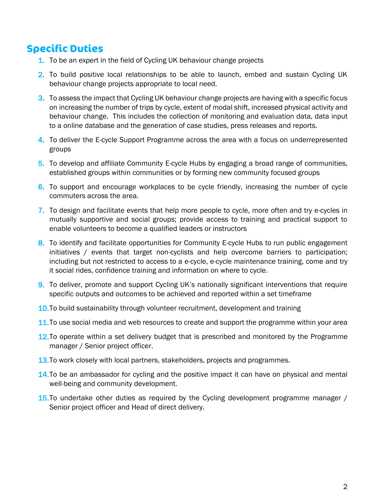### **Specific Duties**

- 1. To be an expert in the field of Cycling UK behaviour change projects
- 2. To build positive local relationships to be able to launch, embed and sustain Cycling UK behaviour change projects appropriate to local need.
- 3. To assess the impact that Cycling UK behaviour change projects are having with a specific focus on increasing the number of trips by cycle, extent of modal shift, increased physical activity and behaviour change. This includes the collection of monitoring and evaluation data, data input to a online database and the generation of case studies, press releases and reports.
- 4. To deliver the E-cycle Support Programme across the area with a focus on underrepresented groups
- 5. To develop and affiliate Community E-cycle Hubs by engaging a broad range of communities, established groups within communities or by forming new community focused groups
- 6. To support and encourage workplaces to be cycle friendly, increasing the number of cycle commuters across the area.
- 7. To design and facilitate events that help more people to cycle, more often and try e-cycles in mutually supportive and social groups; provide access to training and practical support to enable volunteers to become a qualified leaders or instructors
- 8. To identify and facilitate opportunities for Community E-cycle Hubs to run public engagement initiatives / events that target non-cyclists and help overcome barriers to participation; including but not restricted to access to a e-cycle, e-cycle maintenance training, come and try it social rides, confidence training and information on where to cycle.
- 9. To deliver, promote and support Cycling UK's nationally significant interventions that require specific outputs and outcomes to be achieved and reported within a set timeframe
- 10.To build sustainability through volunteer recruitment, development and training
- 11. To use social media and web resources to create and support the programme within your area
- 12. To operate within a set delivery budget that is prescribed and monitored by the Programme manager / Senior project officer.
- 13. To work closely with local partners, stakeholders, projects and programmes.
- **14.To be an ambassador for cycling and the positive impact it can have on physical and mental** well-being and community development.
- **15.To undertake other duties as required by the Cycling development programme manager** / Senior project officer and Head of direct delivery.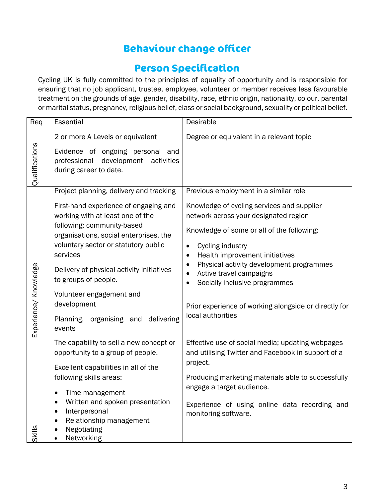# **Behaviour change officer**

### **Person Specification**

Cycling UK is fully committed to the principles of equality of opportunity and is responsible for ensuring that no job applicant, trustee, employee, volunteer or member receives less favourable treatment on the grounds of age, gender, disability, race, ethnic origin, nationality, colour, parental or marital status, pregnancy, religious belief, class or social background, sexuality or political belief.

| Req                   | Essential                                                                                                                                                                                                                                                                                                                                                                                                            | Desirable                                                                                                                                                                                                                                                                                                                                                                                                                                                                               |
|-----------------------|----------------------------------------------------------------------------------------------------------------------------------------------------------------------------------------------------------------------------------------------------------------------------------------------------------------------------------------------------------------------------------------------------------------------|-----------------------------------------------------------------------------------------------------------------------------------------------------------------------------------------------------------------------------------------------------------------------------------------------------------------------------------------------------------------------------------------------------------------------------------------------------------------------------------------|
| Qualifications        | 2 or more A Levels or equivalent<br>Evidence of ongoing personal and<br>professional<br>development<br>activities<br>during career to date.                                                                                                                                                                                                                                                                          | Degree or equivalent in a relevant topic                                                                                                                                                                                                                                                                                                                                                                                                                                                |
| Experience/ Knowledge | Project planning, delivery and tracking<br>First-hand experience of engaging and<br>working with at least one of the<br>following: community-based<br>organisations, social enterprises, the<br>voluntary sector or statutory public<br>services<br>Delivery of physical activity initiatives<br>to groups of people.<br>Volunteer engagement and<br>development<br>Planning,<br>organising and delivering<br>events | Previous employment in a similar role<br>Knowledge of cycling services and supplier<br>network across your designated region<br>Knowledge of some or all of the following:<br>Cycling industry<br>$\bullet$<br>Health improvement initiatives<br>$\bullet$<br>Physical activity development programmes<br>$\bullet$<br>Active travel campaigns<br>$\bullet$<br>Socially inclusive programmes<br>$\bullet$<br>Prior experience of working alongside or directly for<br>local authorities |
| <b>Skills</b>         | The capability to sell a new concept or<br>opportunity to a group of people.<br>Excellent capabilities in all of the<br>following skills areas:<br>Time management<br>$\bullet$<br>Written and spoken presentation<br>$\bullet$<br>Interpersonal<br>$\bullet$<br>Relationship management<br>$\bullet$<br>Negotiating<br>Networking                                                                                   | Effective use of social media; updating webpages<br>and utilising Twitter and Facebook in support of a<br>project.<br>Producing marketing materials able to successfully<br>engage a target audience.<br>Experience of using online data recording and<br>monitoring software.                                                                                                                                                                                                          |